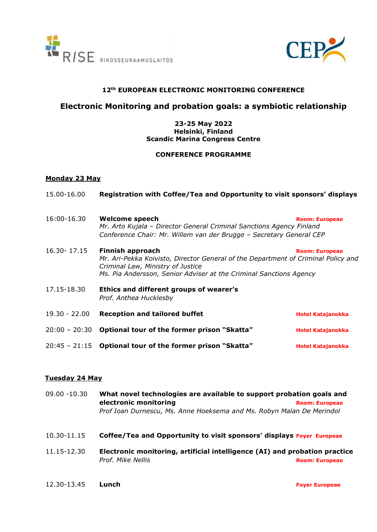



# **12th EUROPEAN ELECTRONIC MONITORING CONFERENCE**

# **Electronic Monitoring and probation goals: a symbiotic relationship**

### **23-25 May 2022 Helsinki, Finland Scandic Marina Congress Centre**

#### **CONFERENCE PROGRAMME**

### **Monday 23 May**

| 15.00-16.00     | Registration with Coffee/Tea and Opportunity to visit sponsors' displays                                                                                                                                                                         |                          |  |
|-----------------|--------------------------------------------------------------------------------------------------------------------------------------------------------------------------------------------------------------------------------------------------|--------------------------|--|
| 16:00-16.30     | <b>Welcome speech</b><br>Mr. Arto Kujala – Director General Criminal Sanctions Agency Finland<br>Conference Chair: Mr. Willem van der Brugge - Secretary General CEP                                                                             | <b>Room: Europeae</b>    |  |
| $16.30 - 17.15$ | <b>Finnish approach</b><br><b>Room: Europeae</b><br>Mr. Ari-Pekka Koivisto, Director General of the Department of Criminal Policy and<br>Criminal Law, Ministry of Justice<br>Ms. Pia Andersson, Senior Adviser at the Criminal Sanctions Agency |                          |  |
| 17.15-18.30     | Ethics and different groups of wearer's<br>Prof. Anthea Hucklesby                                                                                                                                                                                |                          |  |
| $19.30 - 22.00$ | <b>Reception and tailored buffet</b>                                                                                                                                                                                                             | <b>Hotel Katajanokka</b> |  |
| $20:00 - 20:30$ | Optional tour of the former prison "Skatta"                                                                                                                                                                                                      | <b>Hotel Katajanokka</b> |  |
| $20:45 - 21:15$ | Optional tour of the former prison "Skatta"                                                                                                                                                                                                      | <b>Hotel Katajanokka</b> |  |

## **Tuesday 24 May**

| 09.00 -10.30 | What novel technologies are available to support probation goals and       |                       |  |
|--------------|----------------------------------------------------------------------------|-----------------------|--|
|              | electronic monitoring                                                      | <b>Room: Europeae</b> |  |
|              | Prof Ioan Durnescu, Ms. Anne Hoeksema and Ms. Robyn Malan De Merindol      |                       |  |
| 10.30-11.15  | Coffee/Tea and Opportunity to visit sponsors' displays Foyer Europeae      |                       |  |
| 11.15-12.30  | Electronic monitoring, artificial intelligence (AI) and probation practice |                       |  |
|              | Prof. Mike Nellis                                                          | <b>Room: Europeae</b> |  |
|              |                                                                            |                       |  |